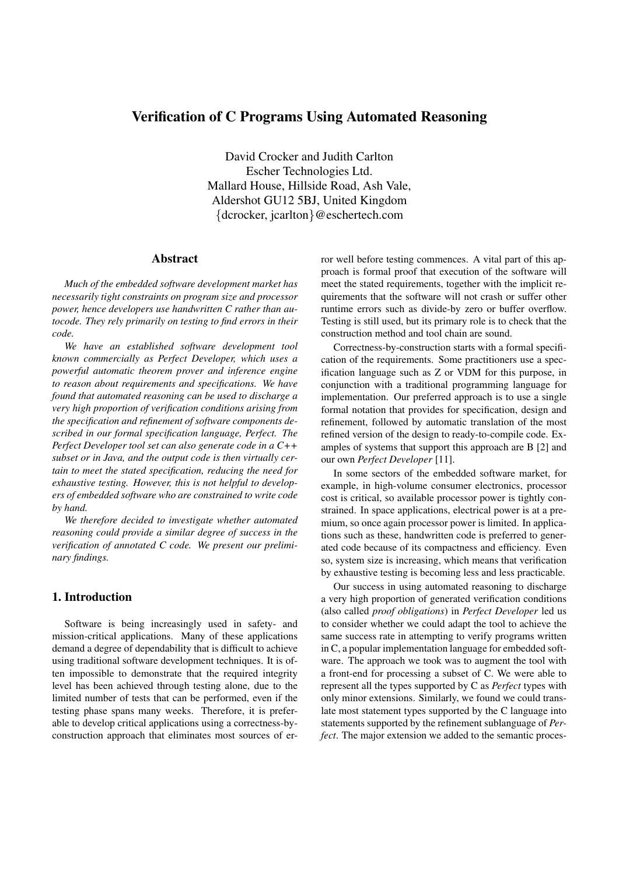# Verification of C Programs Using Automated Reasoning

David Crocker and Judith Carlton Escher Technologies Ltd. Mallard House, Hillside Road, Ash Vale, Aldershot GU12 5BJ, United Kingdom {dcrocker, jcarlton}@eschertech.com

## Abstract

*Much of the embedded software development market has necessarily tight constraints on program size and processor power, hence developers use handwritten C rather than autocode. They rely primarily on testing to find errors in their code.*

*We have an established software development tool known commercially as Perfect Developer, which uses a powerful automatic theorem prover and inference engine to reason about requirements and specifications. We have found that automated reasoning can be used to discharge a very high proportion of verification conditions arising from the specification and refinement of software components described in our formal specification language, Perfect. The Perfect Developer tool set can also generate code in a C++ subset or in Java, and the output code is then virtually certain to meet the stated specification, reducing the need for exhaustive testing. However, this is not helpful to developers of embedded software who are constrained to write code by hand.*

*We therefore decided to investigate whether automated reasoning could provide a similar degree of success in the verification of annotated C code. We present our preliminary findings.*

# 1. Introduction

Software is being increasingly used in safety- and mission-critical applications. Many of these applications demand a degree of dependability that is difficult to achieve using traditional software development techniques. It is often impossible to demonstrate that the required integrity level has been achieved through testing alone, due to the limited number of tests that can be performed, even if the testing phase spans many weeks. Therefore, it is preferable to develop critical applications using a correctness-byconstruction approach that eliminates most sources of error well before testing commences. A vital part of this approach is formal proof that execution of the software will meet the stated requirements, together with the implicit requirements that the software will not crash or suffer other runtime errors such as divide-by zero or buffer overflow. Testing is still used, but its primary role is to check that the construction method and tool chain are sound.

Correctness-by-construction starts with a formal specification of the requirements. Some practitioners use a specification language such as Z or VDM for this purpose, in conjunction with a traditional programming language for implementation. Our preferred approach is to use a single formal notation that provides for specification, design and refinement, followed by automatic translation of the most refined version of the design to ready-to-compile code. Examples of systems that support this approach are B [2] and our own *Perfect Developer* [11].

In some sectors of the embedded software market, for example, in high-volume consumer electronics, processor cost is critical, so available processor power is tightly constrained. In space applications, electrical power is at a premium, so once again processor power is limited. In applications such as these, handwritten code is preferred to generated code because of its compactness and efficiency. Even so, system size is increasing, which means that verification by exhaustive testing is becoming less and less practicable.

Our success in using automated reasoning to discharge a very high proportion of generated verification conditions (also called *proof obligations*) in *Perfect Developer* led us to consider whether we could adapt the tool to achieve the same success rate in attempting to verify programs written in C, a popular implementation language for embedded software. The approach we took was to augment the tool with a front-end for processing a subset of C. We were able to represent all the types supported by C as *Perfect* types with only minor extensions. Similarly, we found we could translate most statement types supported by the C language into statements supported by the refinement sublanguage of *Perfect*. The major extension we added to the semantic proces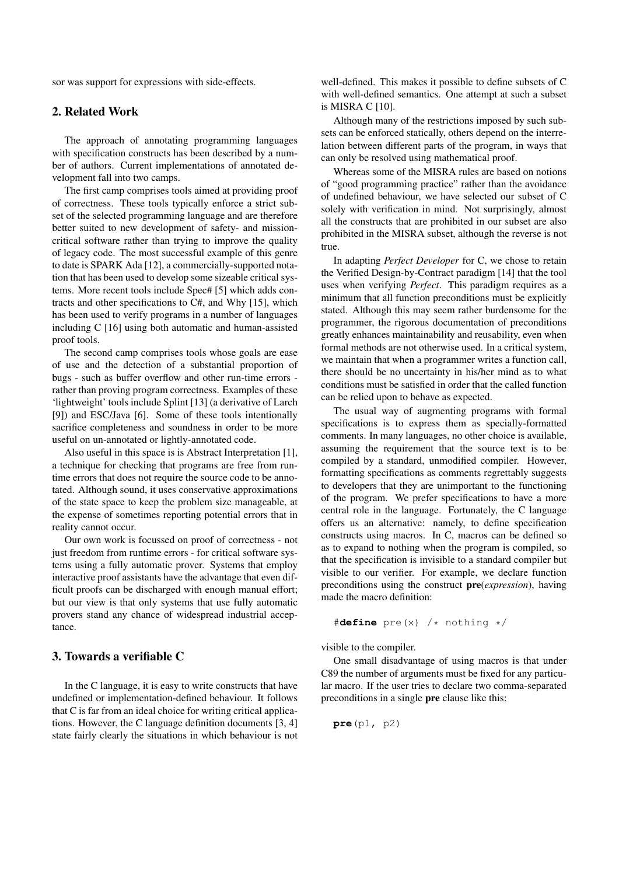sor was support for expressions with side-effects.

# 2. Related Work

The approach of annotating programming languages with specification constructs has been described by a number of authors. Current implementations of annotated development fall into two camps.

The first camp comprises tools aimed at providing proof of correctness. These tools typically enforce a strict subset of the selected programming language and are therefore better suited to new development of safety- and missioncritical software rather than trying to improve the quality of legacy code. The most successful example of this genre to date is SPARK Ada [12], a commercially-supported notation that has been used to develop some sizeable critical systems. More recent tools include Spec# [5] which adds contracts and other specifications to C#, and Why [15], which has been used to verify programs in a number of languages including C [16] using both automatic and human-assisted proof tools.

The second camp comprises tools whose goals are ease of use and the detection of a substantial proportion of bugs - such as buffer overflow and other run-time errors rather than proving program correctness. Examples of these 'lightweight' tools include Splint [13] (a derivative of Larch [9]) and ESC/Java [6]. Some of these tools intentionally sacrifice completeness and soundness in order to be more useful on un-annotated or lightly-annotated code.

Also useful in this space is is Abstract Interpretation [1], a technique for checking that programs are free from runtime errors that does not require the source code to be annotated. Although sound, it uses conservative approximations of the state space to keep the problem size manageable, at the expense of sometimes reporting potential errors that in reality cannot occur.

Our own work is focussed on proof of correctness - not just freedom from runtime errors - for critical software systems using a fully automatic prover. Systems that employ interactive proof assistants have the advantage that even difficult proofs can be discharged with enough manual effort; but our view is that only systems that use fully automatic provers stand any chance of widespread industrial acceptance.

## 3. Towards a verifiable C

In the C language, it is easy to write constructs that have undefined or implementation-defined behaviour. It follows that C is far from an ideal choice for writing critical applications. However, the C language definition documents [3, 4] state fairly clearly the situations in which behaviour is not well-defined. This makes it possible to define subsets of C with well-defined semantics. One attempt at such a subset is MISRA C [10].

Although many of the restrictions imposed by such subsets can be enforced statically, others depend on the interrelation between different parts of the program, in ways that can only be resolved using mathematical proof.

Whereas some of the MISRA rules are based on notions of "good programming practice" rather than the avoidance of undefined behaviour, we have selected our subset of C solely with verification in mind. Not surprisingly, almost all the constructs that are prohibited in our subset are also prohibited in the MISRA subset, although the reverse is not true.

In adapting *Perfect Developer* for C, we chose to retain the Verified Design-by-Contract paradigm [14] that the tool uses when verifying *Perfect*. This paradigm requires as a minimum that all function preconditions must be explicitly stated. Although this may seem rather burdensome for the programmer, the rigorous documentation of preconditions greatly enhances maintainability and reusability, even when formal methods are not otherwise used. In a critical system, we maintain that when a programmer writes a function call, there should be no uncertainty in his/her mind as to what conditions must be satisfied in order that the called function can be relied upon to behave as expected.

The usual way of augmenting programs with formal specifications is to express them as specially-formatted comments. In many languages, no other choice is available, assuming the requirement that the source text is to be compiled by a standard, unmodified compiler. However, formatting specifications as comments regrettably suggests to developers that they are unimportant to the functioning of the program. We prefer specifications to have a more central role in the language. Fortunately, the C language offers us an alternative: namely, to define specification constructs using macros. In C, macros can be defined so as to expand to nothing when the program is compiled, so that the specification is invisible to a standard compiler but visible to our verifier. For example, we declare function preconditions using the construct pre(*expression*), having made the macro definition:

#**define** pre(x) /\* nothing \*/

visible to the compiler.

One small disadvantage of using macros is that under C89 the number of arguments must be fixed for any particular macro. If the user tries to declare two comma-separated preconditions in a single pre clause like this:

**pre**(p1, p2)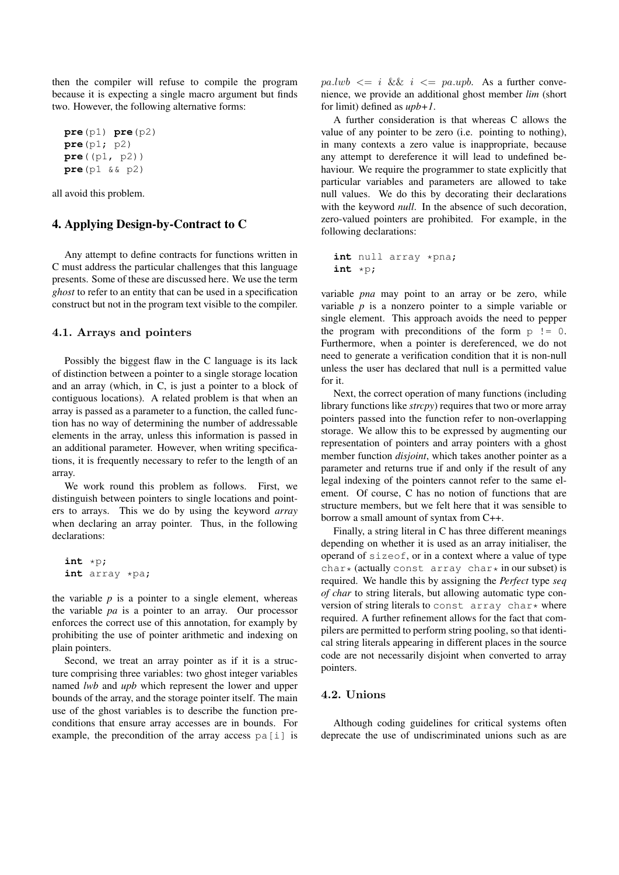then the compiler will refuse to compile the program because it is expecting a single macro argument but finds two. However, the following alternative forms:

```
pre(p1) pre(p2)
pre(p1; p2)
pre((p1, p2))
pre(p1 && p2)
```
all avoid this problem.

## 4. Applying Design-by-Contract to C

Any attempt to define contracts for functions written in C must address the particular challenges that this language presents. Some of these are discussed here. We use the term *ghost* to refer to an entity that can be used in a specification construct but not in the program text visible to the compiler.

#### 4.1. Arrays and pointers

Possibly the biggest flaw in the C language is its lack of distinction between a pointer to a single storage location and an array (which, in C, is just a pointer to a block of contiguous locations). A related problem is that when an array is passed as a parameter to a function, the called function has no way of determining the number of addressable elements in the array, unless this information is passed in an additional parameter. However, when writing specifications, it is frequently necessary to refer to the length of an array.

We work round this problem as follows. First, we distinguish between pointers to single locations and pointers to arrays. This we do by using the keyword *array* when declaring an array pointer. Thus, in the following declarations:

```
int *p;
int array *pa;
```
the variable  $p$  is a pointer to a single element, whereas the variable *pa* is a pointer to an array. Our processor enforces the correct use of this annotation, for examply by prohibiting the use of pointer arithmetic and indexing on plain pointers.

Second, we treat an array pointer as if it is a structure comprising three variables: two ghost integer variables named *lwb* and *upb* which represent the lower and upper bounds of the array, and the storage pointer itself. The main use of the ghost variables is to describe the function preconditions that ensure array accesses are in bounds. For example, the precondition of the array access pa $[i]$  is  $pa.lwb \leq i \&\& i \leq p a. upb$ . As a further convenience, we provide an additional ghost member *lim* (short for limit) defined as *upb+1*.

A further consideration is that whereas C allows the value of any pointer to be zero (i.e. pointing to nothing), in many contexts a zero value is inappropriate, because any attempt to dereference it will lead to undefined behaviour. We require the programmer to state explicitly that particular variables and parameters are allowed to take null values. We do this by decorating their declarations with the keyword *null*. In the absence of such decoration, zero-valued pointers are prohibited. For example, in the following declarations:

```
int null array *pna;
int *p;
```
variable *pna* may point to an array or be zero, while variable *p* is a nonzero pointer to a simple variable or single element. This approach avoids the need to pepper the program with preconditions of the form  $p := 0$ . Furthermore, when a pointer is dereferenced, we do not need to generate a verification condition that it is non-null unless the user has declared that null is a permitted value for it.

Next, the correct operation of many functions (including library functions like *strcpy*) requires that two or more array pointers passed into the function refer to non-overlapping storage. We allow this to be expressed by augmenting our representation of pointers and array pointers with a ghost member function *disjoint*, which takes another pointer as a parameter and returns true if and only if the result of any legal indexing of the pointers cannot refer to the same element. Of course, C has no notion of functions that are structure members, but we felt here that it was sensible to borrow a small amount of syntax from C++.

Finally, a string literal in C has three different meanings depending on whether it is used as an array initialiser, the operand of sizeof, or in a context where a value of type char\* (actually const array char\* in our subset) is required. We handle this by assigning the *Perfect* type *seq of char* to string literals, but allowing automatic type conversion of string literals to const array char\* where required. A further refinement allows for the fact that compilers are permitted to perform string pooling, so that identical string literals appearing in different places in the source code are not necessarily disjoint when converted to array pointers.

#### 4.2. Unions

Although coding guidelines for critical systems often deprecate the use of undiscriminated unions such as are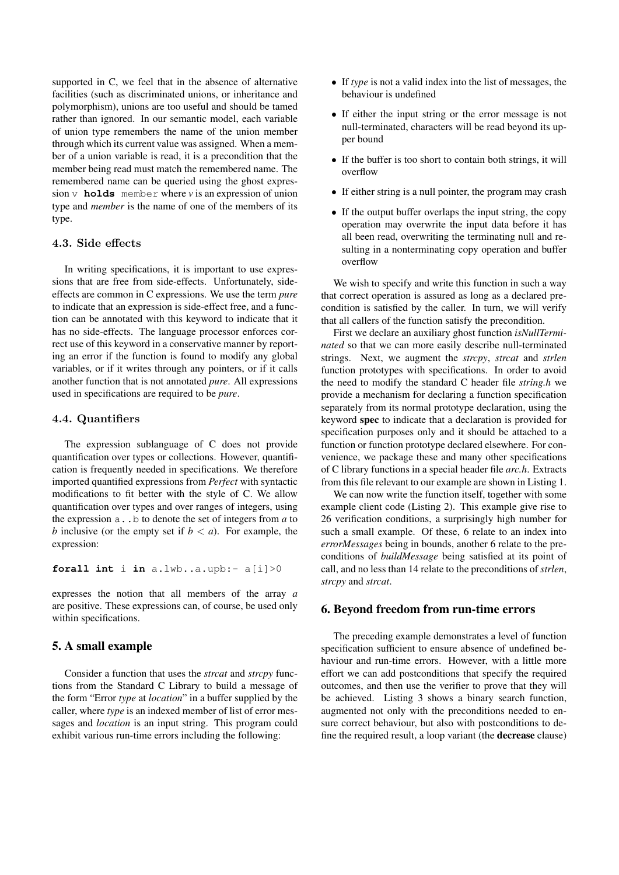supported in C, we feel that in the absence of alternative facilities (such as discriminated unions, or inheritance and polymorphism), unions are too useful and should be tamed rather than ignored. In our semantic model, each variable of union type remembers the name of the union member through which its current value was assigned. When a member of a union variable is read, it is a precondition that the member being read must match the remembered name. The remembered name can be queried using the ghost expression v **holds** member where *v* is an expression of union type and *member* is the name of one of the members of its type.

#### 4.3. Side effects

In writing specifications, it is important to use expressions that are free from side-effects. Unfortunately, sideeffects are common in C expressions. We use the term *pure* to indicate that an expression is side-effect free, and a function can be annotated with this keyword to indicate that it has no side-effects. The language processor enforces correct use of this keyword in a conservative manner by reporting an error if the function is found to modify any global variables, or if it writes through any pointers, or if it calls another function that is not annotated *pure*. All expressions used in specifications are required to be *pure*.

## 4.4. Quantifiers

The expression sublanguage of C does not provide quantification over types or collections. However, quantification is frequently needed in specifications. We therefore imported quantified expressions from *Perfect* with syntactic modifications to fit better with the style of C. We allow quantification over types and over ranges of integers, using the expression a..b to denote the set of integers from *a* to *b* inclusive (or the empty set if  $b < a$ ). For example, the expression:

**forall int** i **in** a.lwb..a.upb:- a[i]>0

expresses the notion that all members of the array *a* are positive. These expressions can, of course, be used only within specifications.

## 5. A small example

Consider a function that uses the *strcat* and *strcpy* functions from the Standard C Library to build a message of the form "Error *type* at *location*" in a buffer supplied by the caller, where *type* is an indexed member of list of error messages and *location* is an input string. This program could exhibit various run-time errors including the following:

- If *type* is not a valid index into the list of messages, the behaviour is undefined
- If either the input string or the error message is not null-terminated, characters will be read beyond its upper bound
- If the buffer is too short to contain both strings, it will overflow
- If either string is a null pointer, the program may crash
- If the output buffer overlaps the input string, the copy operation may overwrite the input data before it has all been read, overwriting the terminating null and resulting in a nonterminating copy operation and buffer overflow

We wish to specify and write this function in such a way that correct operation is assured as long as a declared precondition is satisfied by the caller. In turn, we will verify that all callers of the function satisfy the precondition.

First we declare an auxiliary ghost function *isNullTerminated* so that we can more easily describe null-terminated strings. Next, we augment the *strcpy*, *strcat* and *strlen* function prototypes with specifications. In order to avoid the need to modify the standard C header file *string.h* we provide a mechanism for declaring a function specification separately from its normal prototype declaration, using the keyword spec to indicate that a declaration is provided for specification purposes only and it should be attached to a function or function prototype declared elsewhere. For convenience, we package these and many other specifications of C library functions in a special header file *arc.h*. Extracts from this file relevant to our example are shown in Listing 1.

We can now write the function itself, together with some example client code (Listing 2). This example give rise to 26 verification conditions, a surprisingly high number for such a small example. Of these, 6 relate to an index into *errorMessages* being in bounds, another 6 relate to the preconditions of *buildMessage* being satisfied at its point of call, and no less than 14 relate to the preconditions of *strlen*, *strcpy* and *strcat*.

#### 6. Beyond freedom from run-time errors

The preceding example demonstrates a level of function specification sufficient to ensure absence of undefined behaviour and run-time errors. However, with a little more effort we can add postconditions that specify the required outcomes, and then use the verifier to prove that they will be achieved. Listing 3 shows a binary search function, augmented not only with the preconditions needed to ensure correct behaviour, but also with postconditions to define the required result, a loop variant (the decrease clause)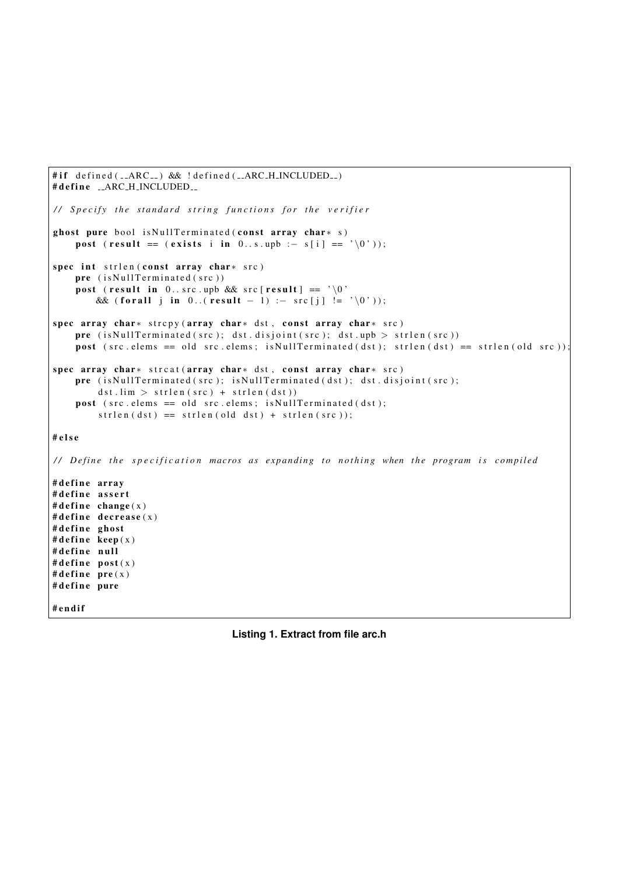```
#if defined (__ARC__) && ! defined (__ARC_H_INCLUDED__)
# define __ARC_H_INCLUDED__
// Specify the standard string functions for the verifier
ghost pure bool is Null Terminated (const array char* s)
    post (result == (exists i in 0..s.upb :- s[i] == '\0'));
spec int strlen (const array char* src)
    pre (is Null Terminated (src))
    post (result in 0. src. upb && src[result] == \sqrt{0}&& (for all j in 0 \ldots (result - 1) :- src [j] != '\0'));
spec array char * strcpy (array char * dst, const array char * src)
    pre (is Null Terminated (src); dst. disjoint (src); dst. upb > strlen (src))
    post (src. elems == old src. elems; is Null Terminated (dst); strlen (dst) == strlen (old src));
spec array char* strcat (array char* dst, const array char* src)
    pre (is Null Terminated (src); is Null Terminated (dst); dst. disjoint (src);
        dst. lim > strlen(src) + strlen(dst))post (src. elements == old src. elements; is NullTerminated (dst);strlen(dst) == strlen(olddst) + strlen(src));# e l s e
// Define the specification macros as expanding to nothing when the program is compiled
# define array
#define assert
# define change(x)# define decrease(x)# define ghost
# define <b>keep</b>(<i>x</i>)# define null
# define post(x)# define pre(x)#define pure
# e n di f
```
## **Listing 1. Extract from file arc.h**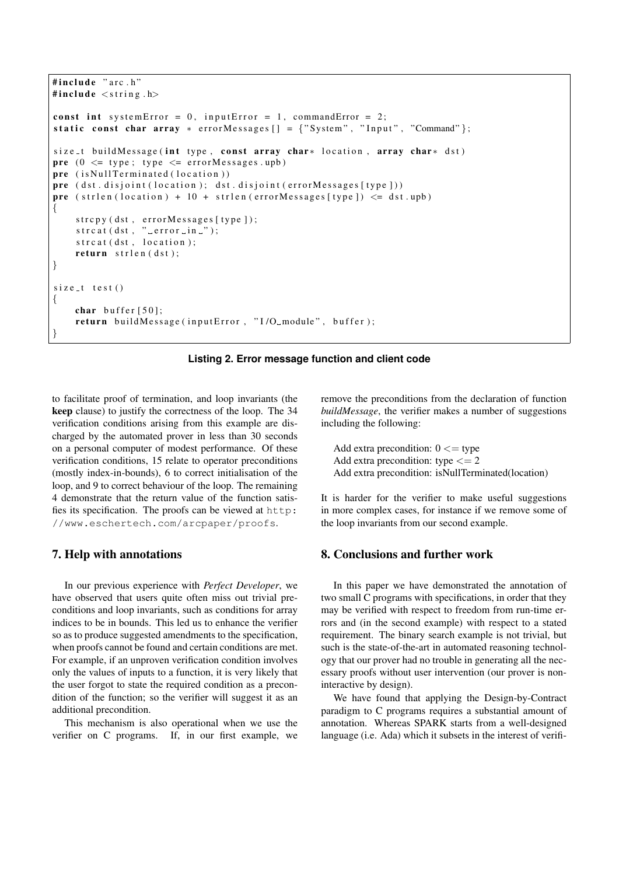```
#include "arc.h"
#include \langlestring.h>
const int system Error = 0, in put Error = 1, command Error = 2;
static const char array * errorMessages [ = \{"System", "Input", "Command" \};size_t buildMessage(int type, const array char* location, array char* dst)
pre (0 \leq t)ype; type \leq errorMessages.upb)
pre (is Null Terminated (location))
pre (dst.disjoint (location); dst.disjoint (errorMessages [type]))
pre (strlen (location) + 10 + strlen (errorMessages [type]) \leq dst.upb)
{
    strcpy (dst, errorMessages [type ]);
    strcat (dst, "error_in".strcat (dst, location);return \ strlen(dst);
}
size_t test()
{
    char buffer [50]:
    return buildMessage (inputError, "I/O_module", buffer);
}
```


to facilitate proof of termination, and loop invariants (the keep clause) to justify the correctness of the loop. The 34 verification conditions arising from this example are discharged by the automated prover in less than 30 seconds on a personal computer of modest performance. Of these verification conditions, 15 relate to operator preconditions (mostly index-in-bounds), 6 to correct initialisation of the loop, and 9 to correct behaviour of the loop. The remaining 4 demonstrate that the return value of the function satisfies its specification. The proofs can be viewed at http: //www.eschertech.com/arcpaper/proofs.

# 7. Help with annotations

In our previous experience with *Perfect Developer*, we have observed that users quite often miss out trivial preconditions and loop invariants, such as conditions for array indices to be in bounds. This led us to enhance the verifier so as to produce suggested amendments to the specification, when proofs cannot be found and certain conditions are met. For example, if an unproven verification condition involves only the values of inputs to a function, it is very likely that the user forgot to state the required condition as a precondition of the function; so the verifier will suggest it as an additional precondition.

This mechanism is also operational when we use the verifier on C programs. If, in our first example, we remove the preconditions from the declaration of function *buildMessage*, the verifier makes a number of suggestions including the following:

Add extra precondition:  $0 \le y$  type Add extra precondition: type  $\leq$  = 2 Add extra precondition: isNullTerminated(location)

It is harder for the verifier to make useful suggestions in more complex cases, for instance if we remove some of the loop invariants from our second example.

# 8. Conclusions and further work

In this paper we have demonstrated the annotation of two small C programs with specifications, in order that they may be verified with respect to freedom from run-time errors and (in the second example) with respect to a stated requirement. The binary search example is not trivial, but such is the state-of-the-art in automated reasoning technology that our prover had no trouble in generating all the necessary proofs without user intervention (our prover is noninteractive by design).

We have found that applying the Design-by-Contract paradigm to C programs requires a substantial amount of annotation. Whereas SPARK starts from a well-designed language (i.e. Ada) which it subsets in the interest of verifi-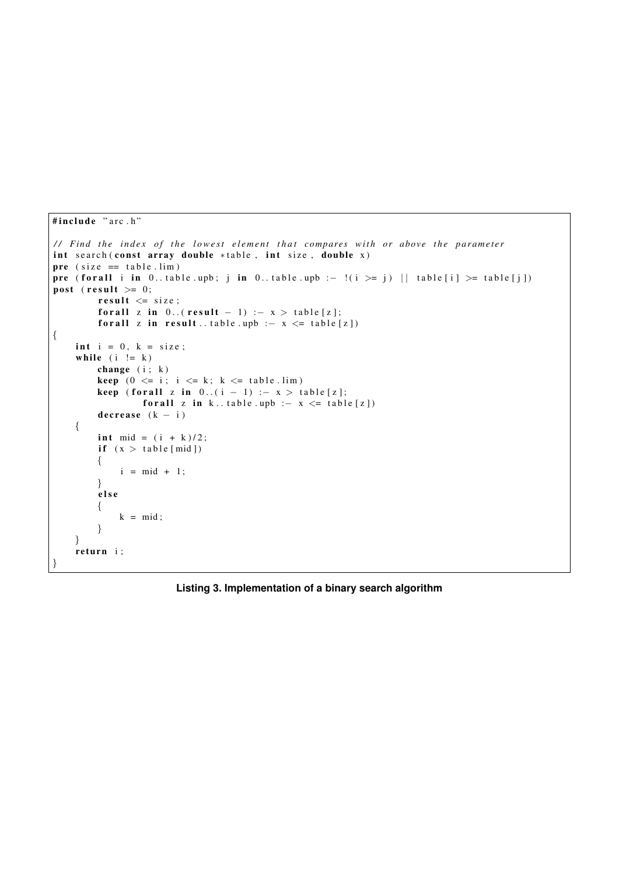```
#include "arc.h"
// Find the index of the lowest element that compares with or above the parameter
int search (const array double *table, int size, double x)
pre ( size == table . lim)pre (for all i in 0. table . upb; j in 0. table . upb :- !(i \ge j) || table [i] >= table [j])
post (result > = 0;
         result \leq size;for all z in 0...( result - 1) :- x > table [z];
         for all z in result .. table . upb : - x \leq table [z])
{
    int i = 0, k = size;
    while (i != k)change (i ; k)keep (0 \leq i; i \leq k; k \leq \text{table.lim})keep (for all z in 0 \ldots (i - 1) := x > table [z];
                  for all z in k \dots table . upb : - x \leq table [z])
         decrease (k - i){
         int mid = (i + k)/2;
         if (x > table [mid])\{i = mid + 1;}
         e l s e
         {
             k = mid;}
    }
    return i;
}
```
**Listing 3. Implementation of a binary search algorithm**